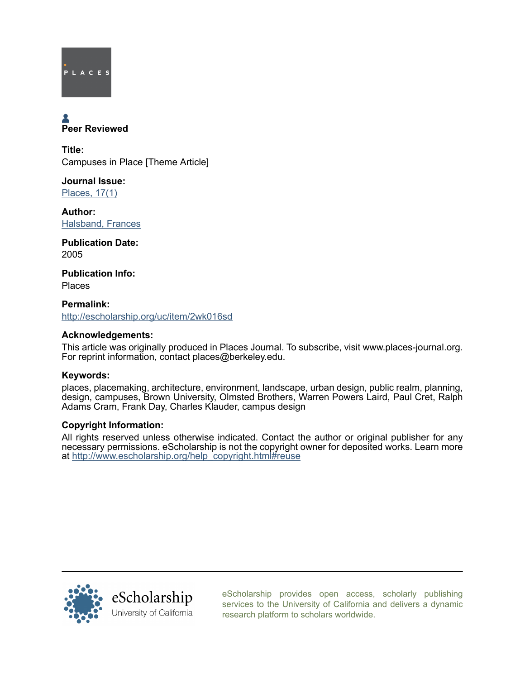

# Peer Reviewed

Title: Campuses in Place [Theme Article]

Journal Issue: [Places, 17\(1\)](http://escholarship.org/uc/ced_places?volume=17;issue=1)

Author: [Halsband, Frances](http://escholarship.org/uc/search?creator=Halsband%2C%20Frances)

Publication Date: 2005

Publication Info: Places

Permalink: <http://escholarship.org/uc/item/2wk016sd>

# Acknowledgements:

This article was originally produced in Places Journal. To subscribe, visit www.places-journal.org. For reprint information, contact places@berkeley.edu.

# Keywords:

places, placemaking, architecture, environment, landscape, urban design, public realm, planning, design, campuses, Brown University, Olmsted Brothers, Warren Powers Laird, Paul Cret, Ralph Adams Cram, Frank Day, Charles Klauder, campus design

# Copyright Information:

All rights reserved unless otherwise indicated. Contact the author or original publisher for any necessary permissions. eScholarship is not the copyright owner for deposited works. Learn more at [http://www.escholarship.org/help\\_copyright.html#reuse](http://www.escholarship.org/help_copyright.html#reuse)



[eScholarship provides open access, scholarly publishing](http://escholarship.org) [services to the University of California and delivers a dynamic](http://escholarship.org) [research platform to scholars worldwide.](http://escholarship.org)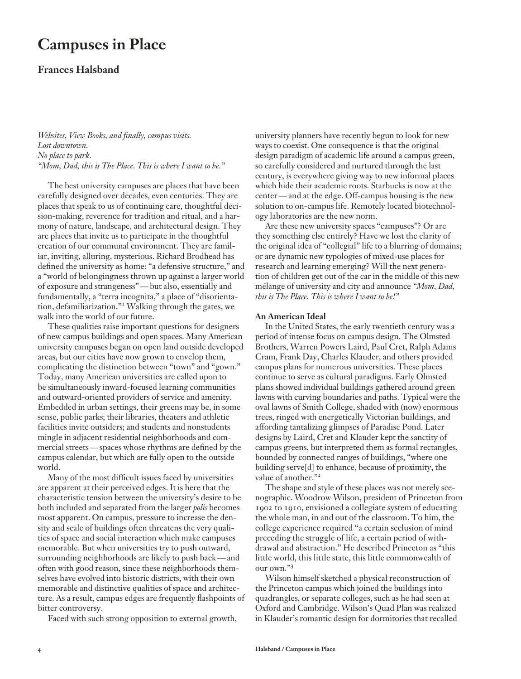# **Campuses in Place**

# **Frances Halsband**

*Websites, View Books, and finally, campus visits. Lost downtown. No place to park. "Mom, Dad, this is The Place. This is where I want to be."*

The best university campuses are places that have been carefully designed over decades, even centuries. They are places that speak to us of continuing care, thoughtful decision-making, reverence for tradition and ritual, and a harmony of nature, landscape, and architectural design. They are places that invite us to participate in the thoughtful creation of our communal environment. They are familiar, inviting, alluring, mysterious. Richard Brodhead has defined the university as home: "a defensive structure," and a "world of belongingness thrown up against a larger world of exposure and strangeness" — but also, essentially and fundamentally, a "terra incognita," a place of "disorientation, defamiliarization."1 Walking through the gates, we walk into the world of our future.

These qualities raise important questions for designers of new campus buildings and open spaces. Many American university campuses began on open land outside developed areas, but our cities have now grown to envelop them, complicating the distinction between "town" and "gown." Today, many American universities are called upon to be simultaneously inward-focused learning communities and outward-oriented providers of service and amenity. Embedded in urban settings, their greens may be, in some sense, public parks; their libraries, theaters and athletic facilities invite outsiders; and students and nonstudents mingle in adjacent residential neighborhoods and commercial streets — spaces whose rhythms are defined by the campus calendar, but which are fully open to the outside world.

Many of the most difficult issues faced by universities are apparent at their perceived edges. It is here that the characteristic tension between the university's desire to be both included and separated from the larger *polis* becomes most apparent. On campus, pressure to increase the density and scale of buildings often threatens the very qualities of space and social interaction which make campuses memorable. But when universities try to push outward, surrounding neighborhoods are likely to push back — and often with good reason, since these neighborhoods themselves have evolved into historic districts, with their own memorable and distinctive qualities of space and architecture. As a result, campus edges are frequently flashpoints of bitter controversy.

Faced with such strong opposition to external growth,

university planners have recently begun to look for new ways to coexist. One consequence is that the original design paradigm of academic life around a campus green, so carefully considered and nurtured through the last century, is everywhere giving way to new informal places which hide their academic roots. Starbucks is now at the center — and at the edge. Off-campus housing is the new solution to on-campus life. Remotely located biotechnology laboratories are the new norm.

Are these new university spaces "campuses"? Or are they something else entirely? Have we lost the clarity of the original idea of "collegial" life to a blurring of domains; or are dynamic new typologies of mixed-use places for research and learning emerging? Will the next generation of children get out of the car in the middle of this new mélange of university and city and announce *"Mom, Dad, this is The Place. This is where I want to be!"*

#### **An American Ideal**

In the United States, the early twentieth century was a period of intense focus on campus design. The Olmsted Brothers, Warren Powers Laird, Paul Cret, Ralph Adams Cram, Frank Day, Charles Klauder, and others provided campus plans for numerous universities. These places continue to serve as cultural paradigms. Early Olmsted plans showed individual buildings gathered around green lawns with curving boundaries and paths. Typical were the oval lawns of Smith College, shaded with (now) enormous trees, ringed with energetically Victorian buildings, and affording tantalizing glimpses of Paradise Pond. Later designs by Laird, Cret and Klauder kept the sanctity of campus greens, but interpreted them as formal rectangles, bounded by connected ranges of buildings, "where one building serve[d] to enhance, because of proximity, the value of another."<sup>2</sup>

The shape and style of these places was not merely scenographic. Woodrow Wilson, president of Princeton from 1902 to 1910, envisioned a collegiate system of educating the whole man, in and out of the classroom. To him, the college experience required "a certain seclusion of mind preceding the struggle of life, a certain period of withdrawal and abstraction." He described Princeton as "this little world, this little state, this little commonwealth of our own."<sup>3</sup>

Wilson himself sketched a physical reconstruction of the Princeton campus which joined the buildings into quadrangles, or separate colleges, such as he had seen at Oxford and Cambridge. Wilson's Quad Plan was realized in Klauder's romantic design for dormitories that recalled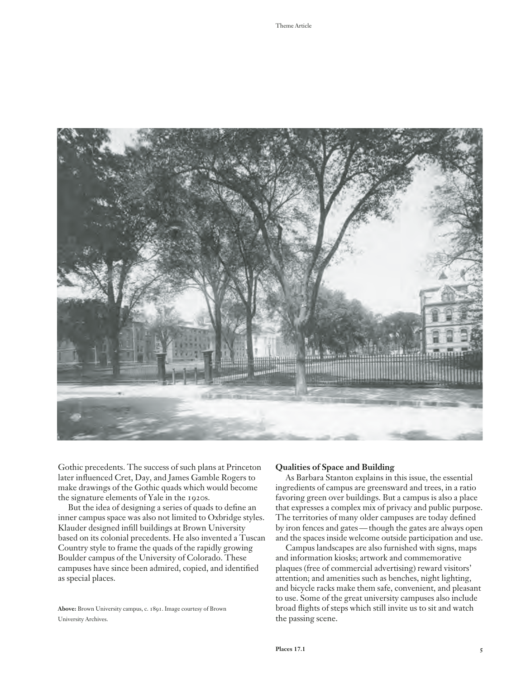

Gothic precedents. The success of such plans at Princeton later influenced Cret, Day, and James Gamble Rogers to make drawings of the Gothic quads which would become the signature elements of Yale in the 1920s.

But the idea of designing a series of quads to define an inner campus space was also not limited to Oxbridge styles. Klauder designed infill buildings at Brown University based on its colonial precedents. He also invented a Tuscan Country style to frame the quads of the rapidly growing Boulder campus of the University of Colorado. These campuses have since been admired, copied, and identified as special places.

**Above:** Brown University campus, c. 1891. Image courtesy of Brown University Archives.

#### **Qualities of Space and Building**

As Barbara Stanton explains in this issue, the essential ingredients of campus are greensward and trees, in a ratio favoring green over buildings. But a campus is also a place that expresses a complex mix of privacy and public purpose. The territories of many older campuses are today defined by iron fences and gates — though the gates are always open and the spaces inside welcome outside participation and use.

Campus landscapes are also furnished with signs, maps and information kiosks; artwork and commemorative plaques (free of commercial advertising) reward visitors' attention; and amenities such as benches, night lighting, and bicycle racks make them safe, convenient, and pleasant to use. Some of the great university campuses also include broad flights of steps which still invite us to sit and watch the passing scene.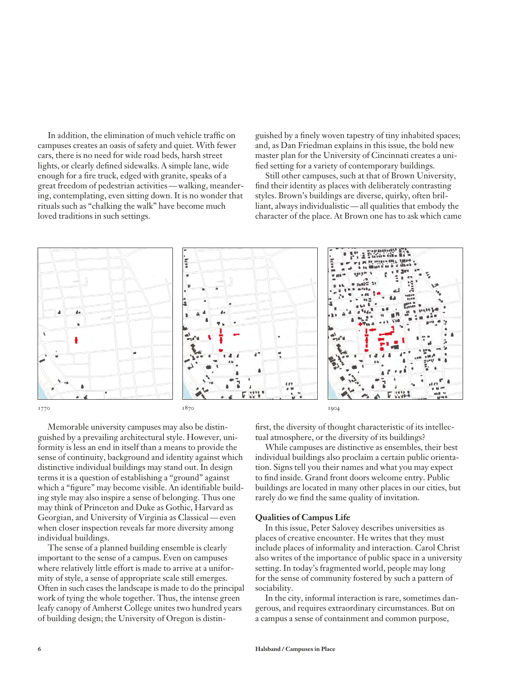In addition, the elimination of much vehicle traffic on campuses creates an oasis of safety and quiet. With fewer cars, there is no need for wide road beds, harsh street lights, or clearly defined sidewalks. A simple lane, wide enough for a fire truck, edged with granite, speaks of a great freedom of pedestrian activities — walking, meandering, contemplating, even sitting down. It is no wonder that rituals such as "chalking the walk" have become much loved traditions in such settings.

guished by a finely woven tapestry of tiny inhabited spaces; and, as Dan Friedman explains in this issue, the bold new master plan for the University of Cincinnati creates a unified setting for a variety of contemporary buildings.

Still other campuses, such at that of Brown University, find their identity as places with deliberately contrasting styles. Brown's buildings are diverse, quirky, often brilliant, always individualistic — all qualities that embody the character of the place. At Brown one has to ask which came



Memorable university campuses may also be distinguished by a prevailing architectural style. However, uniformity is less an end in itself than a means to provide the sense of continuity, background and identity against which distinctive individual buildings may stand out. In design terms it is a question of establishing a "ground" against which a "figure" may become visible. An identifiable building style may also inspire a sense of belonging. Thus one may think of Princeton and Duke as Gothic, Harvard as Georgian, and University of Virginia as Classical — even when closer inspection reveals far more diversity among individual buildings.

The sense of a planned building ensemble is clearly important to the sense of a campus. Even on campuses where relatively little effort is made to arrive at a uniformity of style, a sense of appropriate scale still emerges. Often in such cases the landscape is made to do the principal work of tying the whole together. Thus, the intense green leafy canopy of Amherst College unites two hundred years of building design; the University of Oregon is distinfirst, the diversity of thought characteristic of its intellectual atmosphere, or the diversity of its buildings?

While campuses are distinctive as ensembles, their best individual buildings also proclaim a certain public orientation. Signs tell you their names and what you may expect to find inside. Grand front doors welcome entry. Public buildings are located in many other places in our cities, but rarely do we find the same quality of invitation.

#### **Qualities of Campus Life**

In this issue, Peter Salovey describes universities as places of creative encounter. He writes that they must include places of informality and interaction. Carol Christ also writes of the importance of public space in a university setting. In today's fragmented world, people may long for the sense of community fostered by such a pattern of sociability.

In the city, informal interaction is rare, sometimes dangerous, and requires extraordinary circumstances. But on a campus a sense of containment and common purpose,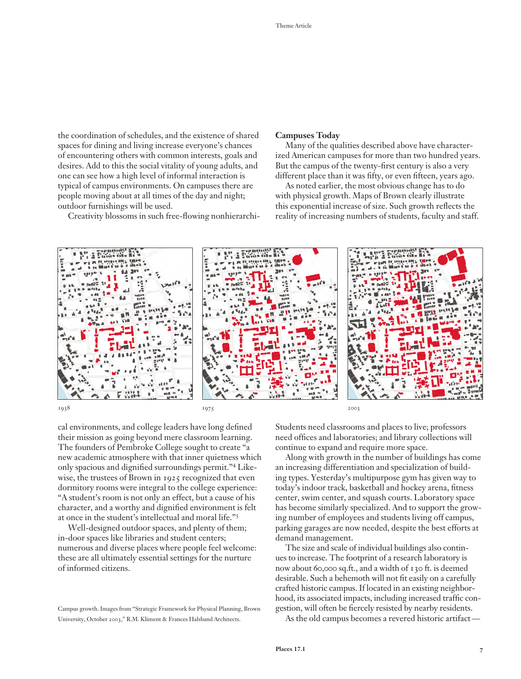the coordination of schedules, and the existence of shared spaces for dining and living increase everyone's chances of encountering others with common interests, goals and desires. Add to this the social vitality of young adults, and one can see how a high level of informal interaction is typical of campus environments. On campuses there are people moving about at all times of the day and night; outdoor furnishings will be used.

Creativity blossoms in such free-flowing nonhierarchi-

#### **Campuses Today**

Many of the qualities described above have characterized American campuses for more than two hundred years. But the campus of the twenty-first century is also a very different place than it was fifty, or even fifteen, years ago.

As noted earlier, the most obvious change has to do with physical growth. Maps of Brown clearly illustrate this exponential increase of size. Such growth reflects the reality of increasing numbers of students, faculty and staff.



 $1975$  2003

cal environments, and college leaders have long defined their mission as going beyond mere classroom learning. The founders of Pembroke College sought to create "a new academic atmosphere with that inner quietness which only spacious and dignified surroundings permit."<sup>4</sup> Likewise, the trustees of Brown in 1925 recognized that even dormitory rooms were integral to the college experience: "A student's room is not only an effect, but a cause of his character, and a worthy and dignified environment is felt at once in the student's intellectual and moral life."5

Well-designed outdoor spaces, and plenty of them; in-door spaces like libraries and student centers; numerous and diverse places where people feel welcome: these are all ultimately essential settings for the nurture of informed citizens.

Campus growth. Images from "Strategic Framework for Physical Planning, Brown University, October 2003," R.M. Kliment & Frances Halsband Architects.

Students need classrooms and places to live; professors need offices and laboratories; and library collections will continue to expand and require more space.

Along with growth in the number of buildings has come an increasing differentiation and specialization of building types. Yesterday's multipurpose gym has given way to today's indoor track, basketball and hockey arena, fitness center, swim center, and squash courts. Laboratory space has become similarly specialized. And to support the growing number of employees and students living off campus, parking garages are now needed, despite the best efforts at demand management.

The size and scale of individual buildings also continues to increase. The footprint of a research laboratory is now about 60,000 sq.ft., and a width of 130 ft. is deemed desirable. Such a behemoth will not fit easily on a carefully crafted historic campus. If located in an existing neighborhood, its associated impacts, including increased traffic congestion, will often be fiercely resisted by nearby residents.

As the old campus becomes a revered historic artifact —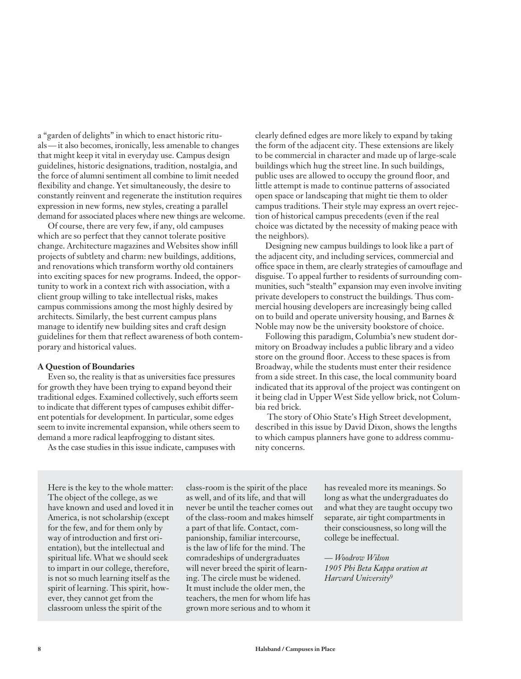a "garden of delights" in which to enact historic rituals — it also becomes, ironically, less amenable to changes that might keep it vital in everyday use. Campus design guidelines, historic designations, tradition, nostalgia, and the force of alumni sentiment all combine to limit needed flexibility and change. Yet simultaneously, the desire to constantly reinvent and regenerate the institution requires expression in new forms, new styles, creating a parallel demand for associated places where new things are welcome.

Of course, there are very few, if any, old campuses which are so perfect that they cannot tolerate positive change. Architecture magazines and Websites show infill projects of subtlety and charm: new buildings, additions, and renovations which transform worthy old containers into exciting spaces for new programs. Indeed, the opportunity to work in a context rich with association, with a client group willing to take intellectual risks, makes campus commissions among the most highly desired by architects. Similarly, the best current campus plans manage to identify new building sites and craft design guidelines for them that reflect awareness of both contemporary and historical values.

#### **A Question of Boundaries**

Even so, the reality is that as universities face pressures for growth they have been trying to expand beyond their traditional edges. Examined collectively, such efforts seem to indicate that different types of campuses exhibit different potentials for development. In particular, some edges seem to invite incremental expansion, while others seem to demand a more radical leapfrogging to distant sites.

As the case studies in this issue indicate, campuses with

clearly defined edges are more likely to expand by taking the form of the adjacent city. These extensions are likely to be commercial in character and made up of large-scale buildings which hug the street line. In such buildings, public uses are allowed to occupy the ground floor, and little attempt is made to continue patterns of associated open space or landscaping that might tie them to older campus traditions. Their style may express an overt rejection of historical campus precedents (even if the real choice was dictated by the necessity of making peace with the neighbors).

Designing new campus buildings to look like a part of the adjacent city, and including services, commercial and office space in them, are clearly strategies of camouflage and disguise. To appeal further to residents of surrounding communities, such "stealth" expansion may even involve inviting private developers to construct the buildings. Thus commercial housing developers are increasingly being called on to build and operate university housing, and Barnes & Noble may now be the university bookstore of choice.

Following this paradigm, Columbia's new student dormitory on Broadway includes a public library and a video store on the ground floor. Access to these spaces is from Broadway, while the students must enter their residence from a side street. In this case, the local community board indicated that its approval of the project was contingent on it being clad in Upper West Side yellow brick, not Columbia red brick.

 The story of Ohio State's High Street development, described in this issue by David Dixon, shows the lengths to which campus planners have gone to address community concerns.

Here is the key to the whole matter: The object of the college, as we have known and used and loved it in America, is not scholarship (except for the few, and for them only by way of introduction and first orientation), but the intellectual and spiritual life. What we should seek to impart in our college, therefore, is not so much learning itself as the spirit of learning. This spirit, however, they cannot get from the classroom unless the spirit of the

class-room is the spirit of the place as well, and of its life, and that will never be until the teacher comes out of the class-room and makes himself a part of that life. Contact, companionship, familiar intercourse, is the law of life for the mind. The comradeships of undergraduates will never breed the spirit of learning. The circle must be widened. It must include the older men, the teachers, the men for whom life has grown more serious and to whom it

has revealed more its meanings. So long as what the undergraduates do and what they are taught occupy two separate, air tight compartments in their consciousness, so long will the college be ineffectual.

*— Woodrow Wilson 1905 Phi Beta Kappa oration at Harvard University*<sup>9</sup>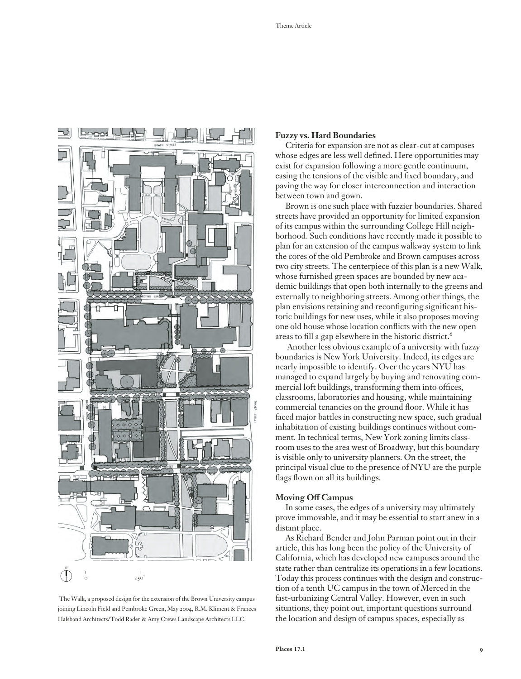

The Walk, a proposed design for the extension of the Brown University campus joining Lincoln Field and Pembroke Green, May 2004, R.M. Kliment & Frances Halsband Architects/Todd Rader & Amy Crews Landscape Architects LLC.

#### **Fuzzy vs. Hard Boundaries**

Criteria for expansion are not as clear-cut at campuses whose edges are less well defined. Here opportunities may exist for expansion following a more gentle continuum, easing the tensions of the visible and fixed boundary, and paving the way for closer interconnection and interaction between town and gown.

Brown is one such place with fuzzier boundaries. Shared streets have provided an opportunity for limited expansion of its campus within the surrounding College Hill neighborhood. Such conditions have recently made it possible to plan for an extension of the campus walkway system to link the cores of the old Pembroke and Brown campuses across two city streets. The centerpiece of this plan is a new Walk, whose furnished green spaces are bounded by new academic buildings that open both internally to the greens and externally to neighboring streets. Among other things, the plan envisions retaining and reconfiguring significant historic buildings for new uses, while it also proposes moving one old house whose location conflicts with the new open areas to fill a gap elsewhere in the historic district.<sup>6</sup>

 Another less obvious example of a university with fuzzy boundaries is New York University. Indeed, its edges are nearly impossible to identify. Over the years NYU has managed to expand largely by buying and renovating commercial loft buildings, transforming them into offices, classrooms, laboratories and housing, while maintaining commercial tenancies on the ground floor. While it has faced major battles in constructing new space, such gradual inhabitation of existing buildings continues without comment. In technical terms, New York zoning limits classroom uses to the area west of Broadway, but this boundary is visible only to university planners. On the street, the principal visual clue to the presence of NYU are the purple flags flown on all its buildings.

#### **Moving Off Campus**

In some cases, the edges of a university may ultimately prove immovable, and it may be essential to start anew in a distant place.

As Richard Bender and John Parman point out in their article, this has long been the policy of the University of California, which has developed new campuses around the state rather than centralize its operations in a few locations. Today this process continues with the design and construction of a tenth UC campus in the town of Merced in the fast-urbanizing Central Valley. However, even in such situations, they point out, important questions surround the location and design of campus spaces, especially as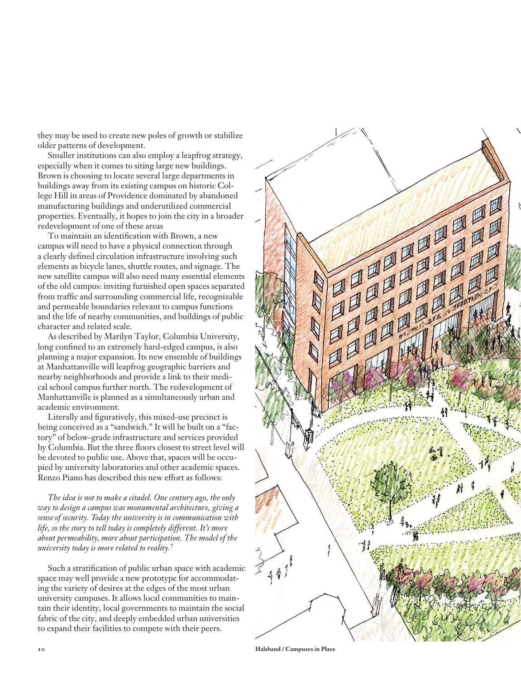they may be used to create new poles of growth or stabilize older patterns of development.

Smaller institutions can also employ a leapfrog strategy, especially when it comes to siting large new buildings. Brown is choosing to locate several large departments in buildings away from its existing campus on historic College Hill in areas of Providence dominated by abandoned manufacturing buildings and underutilized commercial properties. Eventually, it hopes to join the city in a broader redevelopment of one of these areas

To maintain an identification with Brown, a new campus will need to have a physical connection through a clearly defined circulation infrastructure involving such elements as bicycle lanes, shuttle routes, and signage. The new satellite campus will also need many essential elements of the old campus: inviting furnished open spaces separated from traffic and surrounding commercial life, recognizable and permeable boundaries relevant to campus functions and the life of nearby communities, and buildings of public character and related scale.

As described by Marilyn Taylor, Columbia University, long confined to an extremely hard-edged campus, is also planning a major expansion. Its new ensemble of buildings at Manhattanville will leapfrog geographic barriers and nearby neighborhoods and provide a link to their medical school campus further north. The redevelopment of Manhattanville is planned as a simultaneously urban and academic environment.

Literally and figuratively, this mixed-use precinct is being conceived as a "sandwich." It will be built on a "factory" of below-grade infrastructure and services provided by Columbia. But the three floors closest to street level will be devoted to public use. Above that, spaces will be occupied by university laboratories and other academic spaces. Renzo Piano has described this new effort as follows:

*The idea is not to make a citadel. One century ago, the only way to design a campus was monumental architecture, giving a sense of security. Today the university is in communication with life, so the story to tell today is completely different. It's more about permeability, more about participation. The model of the university today is more related to reality.*<sup>7</sup>

Such a stratification of public urban space with academic space may well provide a new prototype for accommodating the variety of desires at the edges of the most urban university campuses. It allows local communities to maintain their identity, local governments to maintain the social fabric of the city, and deeply embedded urban universities to expand their facilities to compete with their peers.



**10 Halsband / Campuses in Place**